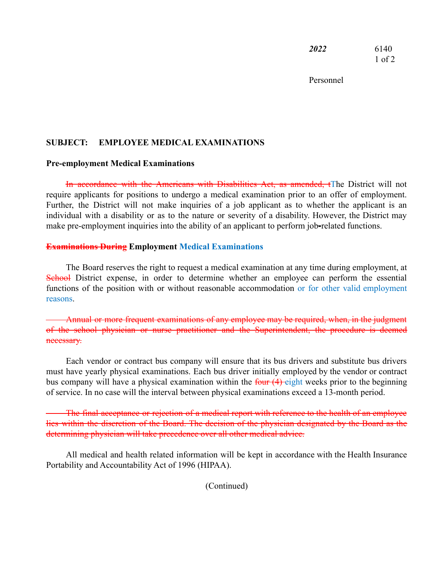*2022* 6140 1 of 2

Personnel

# **SUBJECT: EMPLOYEE MEDICAL EXAMINATIONS**

#### **Pre-employment Medical Examinations**

In accordance with the Americans with Disabilities Act, as amended, tThe District will not require applicants for positions to undergo a medical examination prior to an offer of employment. Further, the District will not make inquiries of a job applicant as to whether the applicant is an individual with a disability or as to the nature or severity of a disability. However, the District may make pre-employment inquiries into the ability of an applicant to perform job-related functions.

### **Examinations During Employment Medical Examinations**

The Board reserves the right to request a medical examination at any time during employment, at School District expense, in order to determine whether an employee can perform the essential functions of the position with or without reasonable accommodation or for other valid employment reasons.

Annual or more frequent examinations of any employee may be required, when, in the judgment of the school physician or nurse practitioner and the Superintendent, the procedure is deemed necessary.

Each vendor or contract bus company will ensure that its bus drivers and substitute bus drivers must have yearly physical examinations. Each bus driver initially employed by the vendor or contract bus company will have a physical examination within the four  $(4)$  eight weeks prior to the beginning of service. In no case will the interval between physical examinations exceed a 13-month period.

The final acceptance or rejection of a medical report with reference to the health of an employee lies within the discretion of the Board. The decision of the physician designated by the Board as the determining physician will take precedence over all other medical advice.

All medical and health related information will be kept in accordance with the Health Insurance Portability and Accountability Act of 1996 (HIPAA).

(Continued)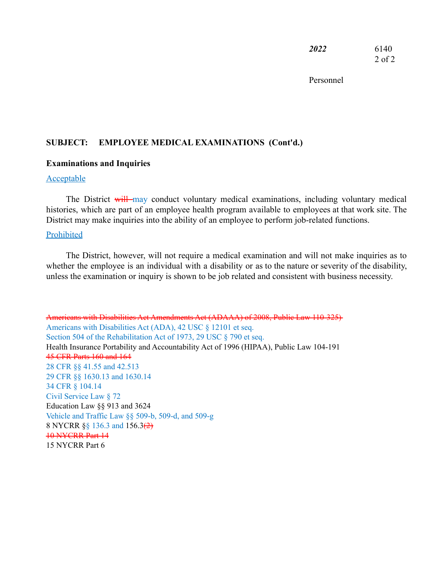*2022* 6140 2 of 2

Personnel

### **SUBJECT: EMPLOYEE MEDICAL EXAMINATIONS (Cont'd.)**

#### **Examinations and Inquiries**

## Acceptable

The District will may conduct voluntary medical examinations, including voluntary medical histories, which are part of an employee health program available to employees at that work site. The District may make inquiries into the ability of an employee to perform job-related functions.

#### Prohibited

The District, however, will not require a medical examination and will not make inquiries as to whether the employee is an individual with a disability or as to the nature or severity of the disability, unless the examination or inquiry is shown to be job related and consistent with business necessity.

Americans with Disabilities Act Amendments Act (ADAAA) of 2008, Public Law 110-325) Americans with Disabilities Act (ADA), 42 USC § 12101 et seq. Section 504 of the Rehabilitation Act of 1973, 29 USC § 790 et seq. Health Insurance Portability and Accountability Act of 1996 (HIPAA), Public Law 104-191 45 CFR Parts 160 and 164 28 CFR §§ 41.55 and 42.513 29 CFR §§ 1630.13 and 1630.14 34 CFR § 104.14 Civil Service Law § 72 Education Law §§ 913 and 3624 Vehicle and Traffic Law §§ 509-b, 509-d, and 509-g 8 NYCRR §§ 136.3 and 156.3(2) 10 NYCRR Part 14 15 NYCRR Part 6